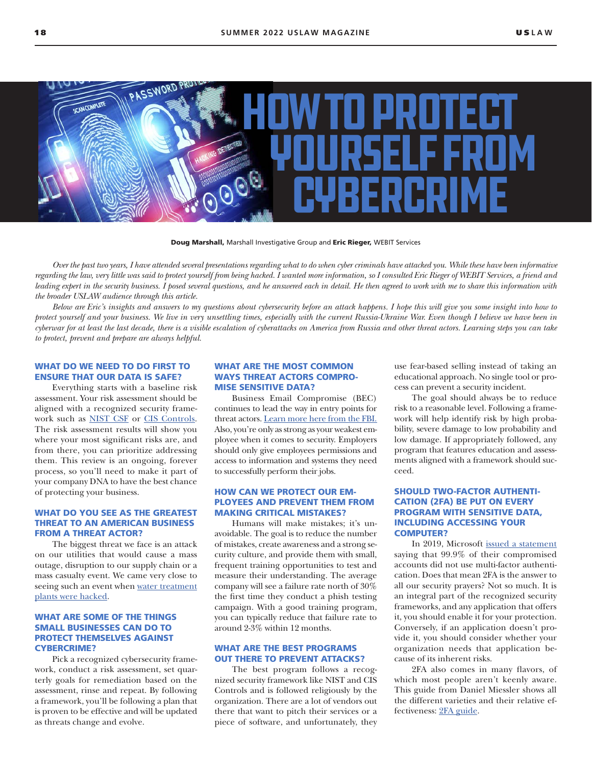

Doug Marshall, Marshall Investigative Group and Eric Rieger, WEBIT Services

*Over the past two years, I have attended several presentations regarding what to do when cyber criminals have attacked you. While these have been informative regarding the law, very little was said to protect yourself from being hacked. I wanted more information, so I consulted Eric Rieger of WEBIT Services, a friend and*  leading expert in the security business. I posed several questions, and he answered each in detail. He then agreed to work with me to share this information with *the broader USLAW audience through this article.*

*Below are Eric's insights and answers to my questions about cybersecurity before an attack happens. I hope this will give you some insight into how to protect yourself and your business. We live in very unsettling times, especially with the current Russia-Ukraine War. Even though I believe we have been in cyberwar for at least the last decade, there is a visible escalation of cyberattacks on America from Russia and other threat actors. Learning steps you can take to protect, prevent and prepare are always helpful.*

# WHAT DO WE NEED TO DO FIRST TO ENSURE THAT OUR DATA IS SAFE?

Everything starts with a baseline risk assessment. Your risk assessment should be aligned with a recognized security framework such as [NIST CSF](https://www.nist.gov/cyberframework) or [CIS Controls.](https://www.cisecurity.org/controls) The risk assessment results will show you where your most significant risks are, and from there, you can prioritize addressing them. This review is an ongoing, forever process, so you'll need to make it part of your company DNA to have the best chance of protecting your business.

#### WHAT DO YOU SEE AS THE GREATEST THREAT TO AN AMERICAN BUSINESS FROM A THREAT ACTOR?

The biggest threat we face is an attack on our utilities that would cause a mass outage, disruption to our supply chain or a mass casualty event. We came very close to seeing such an event when [water treatment](https:/www.nbcnews.com/tech/security/hacker-tried-poison-calif-water-supply-was-easy-entering-password-rcna1206) [plants were hacked.](https:/www.nbcnews.com/tech/security/hacker-tried-poison-calif-water-supply-was-easy-entering-password-rcna1206)

# WHAT ARE SOME OF THE THINGS SMALL BUSINESSES CAN DO TO PROTECT THEMSELVES AGAINST CYBERCRIME?

Pick a recognized cybersecurity framework, conduct a risk assessment, set quarterly goals for remediation based on the assessment, rinse and repeat. By following a framework, you'll be following a plan that is proven to be effective and will be updated as threats change and evolve.

### WHAT ARE THE MOST COMMON WAYS THREAT ACTORS COMPRO-MISE SENSITIVE DATA?

Business Email Compromise (BEC) continues to lead the way in entry points for threat actors. [Learn more here from the FBI.](https://www.fbi.gov/scams-and-safety/common-scams-and-crimes/business-email-compromise) Also, you're only as strong as your weakest employee when it comes to security. Employers should only give employees permissions and access to information and systems they need to successfully perform their jobs.

#### HOW CAN WE PROTECT OUR EM-PLOYEES AND PREVENT THEM FROM MAKING CRITICAL MISTAKES?

Humans will make mistakes; it's unavoidable. The goal is to reduce the number of mistakes, create awareness and a strong security culture, and provide them with small, frequent training opportunities to test and measure their understanding. The average company will see a failure rate north of 30% the first time they conduct a phish testing campaign. With a good training program, you can typically reduce that failure rate to around 2-3% within 12 months.

## WHAT ARE THE BEST PROGRAMS OUT THERE TO PREVENT ATTACKS?

The best program follows a recognized security framework like NIST and CIS Controls and is followed religiously by the organization. There are a lot of vendors out there that want to pitch their services or a piece of software, and unfortunately, they use fear-based selling instead of taking an educational approach. No single tool or process can prevent a security incident.

The goal should always be to reduce risk to a reasonable level. Following a framework will help identify risk by high probability, severe damage to low probability and low damage. If appropriately followed, any program that features education and assessments aligned with a framework should succeed.

### SHOULD TWO-FACTOR AUTHENTI-CATION (2FA) BE PUT ON EVERY PROGRAM WITH SENSITIVE DATA, INCLUDING ACCESSING YOUR COMPUTER?

In 2019, Microsoft [issued a statement](https://www.zdnet.com/article/microsoft-99-9-of-compromised-accounts-did-not-use-multi-factor-authentication/)  saying that 99.9% of their compromised accounts did not use multi-factor authentication. Does that mean 2FA is the answer to all our security prayers? Not so much. It is an integral part of the recognized security frameworks, and any application that offers it, you should enable it for your protection. Conversely, if an application doesn't provide it, you should consider whether your organization needs that application because of its inherent risks.

2FA also comes in many flavors, of which most people aren't keenly aware. This guide from Daniel Miessler shows all the different varieties and their relative effectiveness: [2FA guide.](http://2FA guidehttps://danielmiessler.com/blog/not-all-mfa-is-equal-and-the-differences-matter-a-lot/)